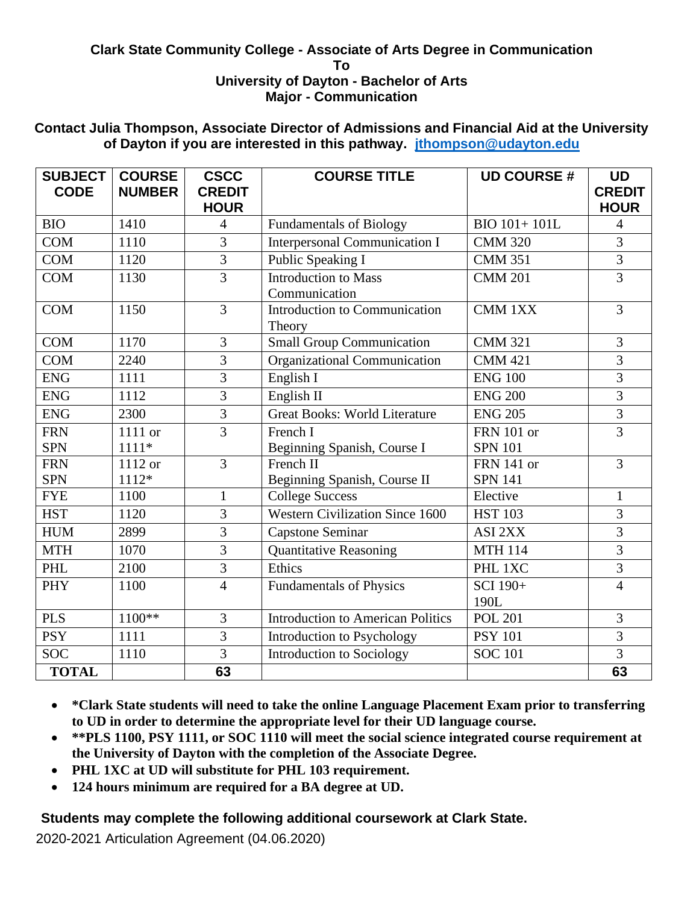## **Clark State Community College - Associate of Arts Degree in Communication To University of Dayton - Bachelor of Arts Major - Communication**

## **Contact Julia Thompson, Associate Director of Admissions and Financial Aid at the University of Dayton if you are interested in this pathway. [jthompson@udayton.edu](mailto:jthompson@udayton.edu)**

| <b>SUBJECT</b><br><b>CODE</b> | <b>COURSE</b><br><b>NUMBER</b> | <b>CSCC</b><br><b>CREDIT</b><br><b>HOUR</b> | <b>COURSE TITLE</b>                                | <b>UD COURSE#</b> | <b>UD</b><br><b>CREDIT</b><br><b>HOUR</b> |
|-------------------------------|--------------------------------|---------------------------------------------|----------------------------------------------------|-------------------|-------------------------------------------|
| <b>BIO</b>                    | 1410                           | $\overline{4}$                              | <b>Fundamentals of Biology</b>                     | BIO 101+101L      | $\overline{4}$                            |
| <b>COM</b>                    | 1110                           | 3                                           | <b>Interpersonal Communication I</b>               | <b>CMM 320</b>    | 3                                         |
| <b>COM</b>                    | 1120                           | $\overline{3}$                              | Public Speaking I                                  | <b>CMM 351</b>    | $\overline{3}$                            |
| <b>COM</b>                    | 1130                           | $\overline{3}$                              | <b>Introduction to Mass</b><br>Communication       | <b>CMM 201</b>    | $\overline{3}$                            |
| <b>COM</b>                    | 1150                           | 3                                           | Introduction to Communication<br>CMM 1XX<br>Theory |                   | 3                                         |
| <b>COM</b>                    | 1170                           | 3                                           | <b>Small Group Communication</b>                   | <b>CMM 321</b>    | 3                                         |
| <b>COM</b>                    | 2240                           | 3                                           | Organizational Communication                       | <b>CMM 421</b>    | 3                                         |
| <b>ENG</b>                    | 1111                           | 3                                           | English I                                          | <b>ENG 100</b>    | $\overline{3}$                            |
| <b>ENG</b>                    | 1112                           | 3                                           | English II                                         | <b>ENG 200</b>    | $\overline{3}$                            |
| <b>ENG</b>                    | 2300                           | 3                                           | <b>Great Books: World Literature</b>               | <b>ENG 205</b>    | $\overline{3}$                            |
| <b>FRN</b>                    | 1111 or                        | $\overline{3}$                              | French I                                           | <b>FRN</b> 101 or | $\overline{3}$                            |
| <b>SPN</b>                    | $1111*$                        |                                             | Beginning Spanish, Course I                        | <b>SPN 101</b>    |                                           |
| <b>FRN</b>                    | 1112 or                        | $\overline{3}$                              | French II                                          | <b>FRN</b> 141 or | $\overline{3}$                            |
| <b>SPN</b>                    | 1112*                          |                                             | Beginning Spanish, Course II                       | <b>SPN 141</b>    |                                           |
| <b>FYE</b>                    | 1100                           | $\mathbf{1}$                                | <b>College Success</b>                             | Elective          | $\mathbf{1}$                              |
| <b>HST</b>                    | 1120                           | 3                                           | <b>Western Civilization Since 1600</b>             | <b>HST 103</b>    | 3                                         |
| <b>HUM</b>                    | 2899                           | 3                                           | <b>Capstone Seminar</b>                            | ASI 2XX           | 3                                         |
| <b>MTH</b>                    | 1070                           | 3                                           | <b>Quantitative Reasoning</b>                      | <b>MTH 114</b>    | 3                                         |
| PHL                           | 2100                           | $\overline{3}$                              | Ethics                                             | PHL 1XC           | $\overline{3}$                            |
| <b>PHY</b>                    | 1100                           | $\overline{4}$                              | <b>Fundamentals of Physics</b>                     | SCI 190+          | $\overline{4}$                            |
|                               |                                |                                             |                                                    | 190L              |                                           |
| <b>PLS</b>                    | 1100**                         | 3                                           | <b>Introduction to American Politics</b>           | <b>POL 201</b>    | 3                                         |
| <b>PSY</b>                    | 1111                           | 3                                           | Introduction to Psychology                         | <b>PSY 101</b>    | 3                                         |
| <b>SOC</b>                    | 1110                           | $\overline{3}$                              | Introduction to Sociology                          | <b>SOC 101</b>    | $\overline{3}$                            |
| <b>TOTAL</b>                  |                                | 63                                          |                                                    |                   | 63                                        |

- **\*Clark State students will need to take the online Language Placement Exam prior to transferring to UD in order to determine the appropriate level for their UD language course.**
- **\*\*PLS 1100, PSY 1111, or SOC 1110 will meet the social science integrated course requirement at the University of Dayton with the completion of the Associate Degree.**
- **PHL 1XC at UD will substitute for PHL 103 requirement.**
- **124 hours minimum are required for a BA degree at UD.**

## **Students may complete the following additional coursework at Clark State.**

2020-2021 Articulation Agreement (04.06.2020)